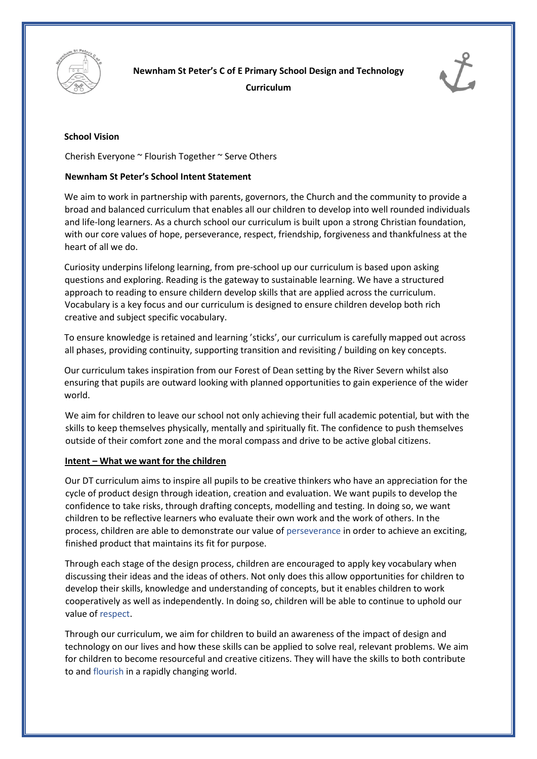

**Newnham St Peter's C of E Primary School Design and Technology Curriculum** 



## **School Vision**

Cherish Everyone ~ Flourish Together ~ Serve Others

## **Newnham St Peter's School Intent Statement**

We aim to work in partnership with parents, governors, the Church and the community to provide a broad and balanced curriculum that enables all our children to develop into well rounded individuals and life-long learners. As a church school our curriculum is built upon a strong Christian foundation, with our core values of hope, perseverance, respect, friendship, forgiveness and thankfulness at the heart of all we do.

Curiosity underpins lifelong learning, from pre-school up our curriculum is based upon asking questions and exploring. Reading is the gateway to sustainable learning. We have a structured approach to reading to ensure childern develop skills that are applied across the curriculum. Vocabulary is a key focus and our curriculum is designed to ensure children develop both rich creative and subject specific vocabulary.

To ensure knowledge is retained and learning 'sticks', our curriculum is carefully mapped out across all phases, providing continuity, supporting transition and revisiting / building on key concepts.

Our curriculum takes inspiration from our Forest of Dean setting by the River Severn whilst also ensuring that pupils are outward looking with planned opportunities to gain experience of the wider world.

We aim for children to leave our school not only achieving their full academic potential, but with the skills to keep themselves physically, mentally and spiritually fit. The confidence to push themselves outside of their comfort zone and the moral compass and drive to be active global citizens.

#### **Intent – What we want for the children**

Our DT curriculum aims to inspire all pupils to be creative thinkers who have an appreciation for the cycle of product design through ideation, creation and evaluation. We want pupils to develop the confidence to take risks, through drafting concepts, modelling and testing. In doing so, we want children to be reflective learners who evaluate their own work and the work of others. In the process, children are able to demonstrate our value of perseverance in order to achieve an exciting, finished product that maintains its fit for purpose.

Through each stage of the design process, children are encouraged to apply key vocabulary when discussing their ideas and the ideas of others. Not only does this allow opportunities for children to develop their skills, knowledge and understanding of concepts, but it enables children to work cooperatively as well as independently. In doing so, children will be able to continue to uphold our value of respect.

Through our curriculum, we aim for children to build an awareness of the impact of design and technology on our lives and how these skills can be applied to solve real, relevant problems. We aim for children to become resourceful and creative citizens. They will have the skills to both contribute to and flourish in a rapidly changing world.